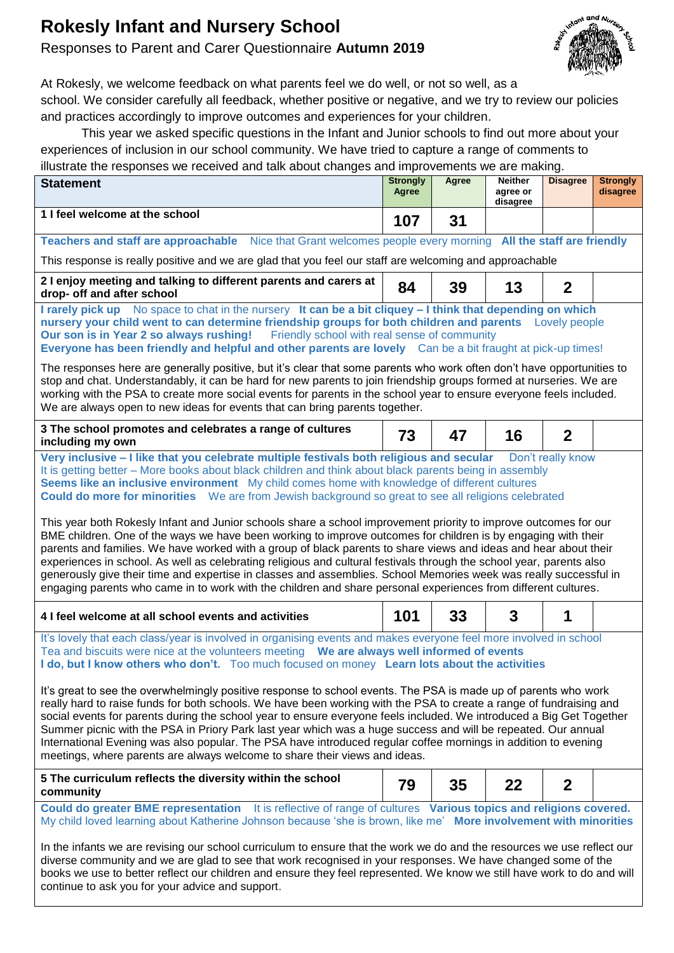# **Rokesly Infant and Nursery School**

# Responses to Parent and Carer Questionnaire **Autumn 2019**



At Rokesly, we welcome feedback on what parents feel we do well, or not so well, as a school. We consider carefully all feedback, whether positive or negative, and we try to review our policies and practices accordingly to improve outcomes and experiences for your children.

This year we asked specific questions in the Infant and Junior schools to find out more about your experiences of inclusion in our school community. We have tried to capture a range of comments to illustrate the responses we received and talk about changes and improvements we are making.

| illustrate the responses we received and talk about changes and improvements we are making.                                                                                                                                                                                                                                                                                                                                                                                                                                                                                                                                                                                                                                                                                                                                                                                                                                                                                                                                                                                                                                                                   | <b>Strongly</b> | <b>Agree</b> | <b>Neither</b>       | <b>Disagree</b> | <b>Strongly</b> |  |  |  |  |  |  |
|---------------------------------------------------------------------------------------------------------------------------------------------------------------------------------------------------------------------------------------------------------------------------------------------------------------------------------------------------------------------------------------------------------------------------------------------------------------------------------------------------------------------------------------------------------------------------------------------------------------------------------------------------------------------------------------------------------------------------------------------------------------------------------------------------------------------------------------------------------------------------------------------------------------------------------------------------------------------------------------------------------------------------------------------------------------------------------------------------------------------------------------------------------------|-----------------|--------------|----------------------|-----------------|-----------------|--|--|--|--|--|--|
| <b>Statement</b>                                                                                                                                                                                                                                                                                                                                                                                                                                                                                                                                                                                                                                                                                                                                                                                                                                                                                                                                                                                                                                                                                                                                              | Agree           |              | agree or<br>disagree |                 | disagree        |  |  |  |  |  |  |
| 1 I feel welcome at the school                                                                                                                                                                                                                                                                                                                                                                                                                                                                                                                                                                                                                                                                                                                                                                                                                                                                                                                                                                                                                                                                                                                                | 107             | 31           |                      |                 |                 |  |  |  |  |  |  |
| Teachers and staff are approachable Nice that Grant welcomes people every morning All the staff are friendly                                                                                                                                                                                                                                                                                                                                                                                                                                                                                                                                                                                                                                                                                                                                                                                                                                                                                                                                                                                                                                                  |                 |              |                      |                 |                 |  |  |  |  |  |  |
| This response is really positive and we are glad that you feel our staff are welcoming and approachable                                                                                                                                                                                                                                                                                                                                                                                                                                                                                                                                                                                                                                                                                                                                                                                                                                                                                                                                                                                                                                                       |                 |              |                      |                 |                 |  |  |  |  |  |  |
| 2 I enjoy meeting and talking to different parents and carers at<br>drop- off and after school                                                                                                                                                                                                                                                                                                                                                                                                                                                                                                                                                                                                                                                                                                                                                                                                                                                                                                                                                                                                                                                                | 84              | 39           | 13                   | $\overline{2}$  |                 |  |  |  |  |  |  |
| I rarely pick up No space to chat in the nursery It can be a bit cliquey - I think that depending on which<br>nursery your child went to can determine friendship groups for both children and parents Lovely people<br>Our son is in Year 2 so always rushing! Friendly school with real sense of community<br>Everyone has been friendly and helpful and other parents are lovely Can be a bit fraught at pick-up times!                                                                                                                                                                                                                                                                                                                                                                                                                                                                                                                                                                                                                                                                                                                                    |                 |              |                      |                 |                 |  |  |  |  |  |  |
| The responses here are generally positive, but it's clear that some parents who work often don't have opportunities to<br>stop and chat. Understandably, it can be hard for new parents to join friendship groups formed at nurseries. We are<br>working with the PSA to create more social events for parents in the school year to ensure everyone feels included.<br>We are always open to new ideas for events that can bring parents together.                                                                                                                                                                                                                                                                                                                                                                                                                                                                                                                                                                                                                                                                                                           |                 |              |                      |                 |                 |  |  |  |  |  |  |
| 3 The school promotes and celebrates a range of cultures<br>including my own                                                                                                                                                                                                                                                                                                                                                                                                                                                                                                                                                                                                                                                                                                                                                                                                                                                                                                                                                                                                                                                                                  | 73              | 47           | 16                   | $\overline{2}$  |                 |  |  |  |  |  |  |
| Very inclusive - I like that you celebrate multiple festivals both religious and secular<br>Don't really know<br>It is getting better – More books about black children and think about black parents being in assembly<br>Seems like an inclusive environment My child comes home with knowledge of different cultures<br><b>Could do more for minorities</b> We are from Jewish background so great to see all religions celebrated<br>This year both Rokesly Infant and Junior schools share a school improvement priority to improve outcomes for our<br>BME children. One of the ways we have been working to improve outcomes for children is by engaging with their<br>parents and families. We have worked with a group of black parents to share views and ideas and hear about their<br>experiences in school. As well as celebrating religious and cultural festivals through the school year, parents also<br>generously give their time and expertise in classes and assemblies. School Memories week was really successful in<br>engaging parents who came in to work with the children and share personal experiences from different cultures. |                 |              |                      |                 |                 |  |  |  |  |  |  |
| 4 I feel welcome at all school events and activities                                                                                                                                                                                                                                                                                                                                                                                                                                                                                                                                                                                                                                                                                                                                                                                                                                                                                                                                                                                                                                                                                                          | 101             | 33           | 3                    | 1               |                 |  |  |  |  |  |  |
| It's lovely that each class/year is involved in organising events and makes everyone feel more involved in school<br>Tea and biscuits were nice at the volunteers meeting <b>We are always well informed of events</b><br>I do, but I know others who don't. Too much focused on money Learn lots about the activities<br>It's great to see the overwhelmingly positive response to school events. The PSA is made up of parents who work<br>really hard to raise funds for both schools. We have been working with the PSA to create a range of fundraising and<br>social events for parents during the school year to ensure everyone feels included. We introduced a Big Get Together<br>Summer picnic with the PSA in Priory Park last year which was a huge success and will be repeated. Our annual<br>International Evening was also popular. The PSA have introduced regular coffee mornings in addition to evening<br>meetings, where parents are always welcome to share their views and ideas.                                                                                                                                                     |                 |              |                      |                 |                 |  |  |  |  |  |  |
| 5 The curriculum reflects the diversity within the school                                                                                                                                                                                                                                                                                                                                                                                                                                                                                                                                                                                                                                                                                                                                                                                                                                                                                                                                                                                                                                                                                                     | 79              | 35           | 22                   | $\mathbf 2$     |                 |  |  |  |  |  |  |
| community<br>Could do greater BME representation It is reflective of range of cultures Various topics and religions covered.<br>My child loved learning about Katherine Johnson because 'she is brown, like me' More involvement with minorities<br>In the infants we are revising our school curriculum to ensure that the work we do and the resources we use reflect our<br>diverse community and we are glad to see that work recognised in your responses. We have changed some of the<br>books we use to better reflect our children and ensure they feel represented. We know we still have work to do and will<br>continue to ask you for your advice and support.                                                                                                                                                                                                                                                                                                                                                                                                                                                                                    |                 |              |                      |                 |                 |  |  |  |  |  |  |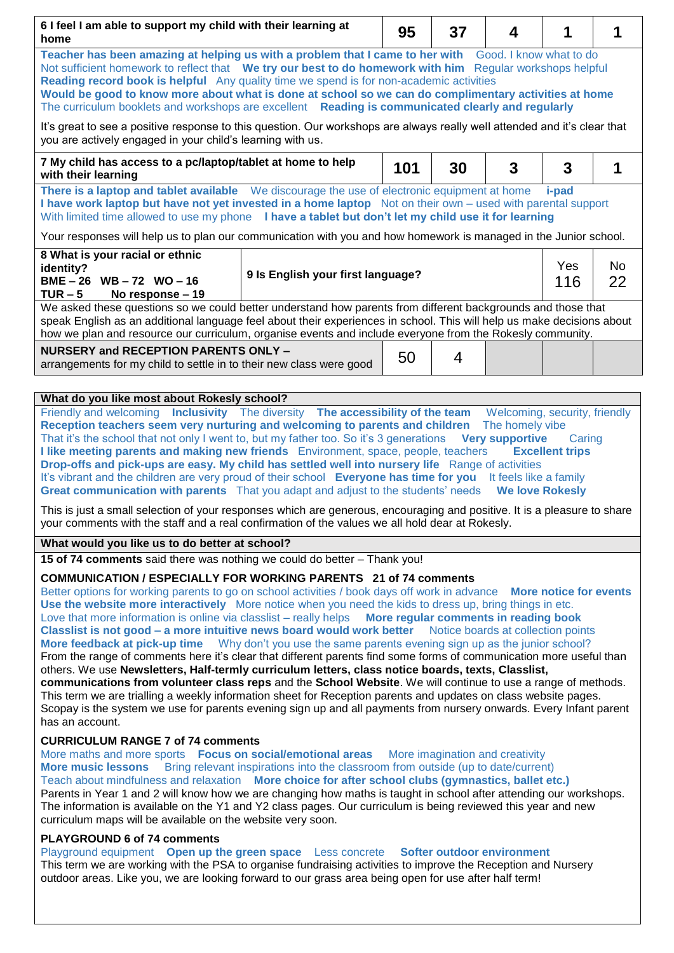| 6 I feel I am able to support my child with their learning at<br>home                                                                                                                                                                                                                                                                                                                                                                                                                                                                                                                                                                                                                                                                                                                                                                                                                                                                                                                                                                                                                                                                                                                                                                                                                                                                   |  | 95  | 37 | 4 | 1 | 1        |  |  |  |
|-----------------------------------------------------------------------------------------------------------------------------------------------------------------------------------------------------------------------------------------------------------------------------------------------------------------------------------------------------------------------------------------------------------------------------------------------------------------------------------------------------------------------------------------------------------------------------------------------------------------------------------------------------------------------------------------------------------------------------------------------------------------------------------------------------------------------------------------------------------------------------------------------------------------------------------------------------------------------------------------------------------------------------------------------------------------------------------------------------------------------------------------------------------------------------------------------------------------------------------------------------------------------------------------------------------------------------------------|--|-----|----|---|---|----------|--|--|--|
| Teacher has been amazing at helping us with a problem that I came to her with<br>Good. I know what to do<br>Not sufficient homework to reflect that We try our best to do homework with him Regular workshops helpful<br>Reading record book is helpful Any quality time we spend is for non-academic activities<br>Would be good to know more about what is done at school so we can do complimentary activities at home<br>The curriculum booklets and workshops are excellent Reading is communicated clearly and regularly                                                                                                                                                                                                                                                                                                                                                                                                                                                                                                                                                                                                                                                                                                                                                                                                          |  |     |    |   |   |          |  |  |  |
| It's great to see a positive response to this question. Our workshops are always really well attended and it's clear that<br>you are actively engaged in your child's learning with us.                                                                                                                                                                                                                                                                                                                                                                                                                                                                                                                                                                                                                                                                                                                                                                                                                                                                                                                                                                                                                                                                                                                                                 |  |     |    |   |   |          |  |  |  |
| 7 My child has access to a pc/laptop/tablet at home to help<br>with their learning                                                                                                                                                                                                                                                                                                                                                                                                                                                                                                                                                                                                                                                                                                                                                                                                                                                                                                                                                                                                                                                                                                                                                                                                                                                      |  | 101 | 30 | 3 | 3 | 1        |  |  |  |
| There is a laptop and tablet available We discourage the use of electronic equipment at home<br><i>i-pad</i><br>I have work laptop but have not yet invested in a home laptop Not on their own – used with parental support<br>With limited time allowed to use my phone I have a tablet but don't let my child use it for learning                                                                                                                                                                                                                                                                                                                                                                                                                                                                                                                                                                                                                                                                                                                                                                                                                                                                                                                                                                                                     |  |     |    |   |   |          |  |  |  |
| Your responses will help us to plan our communication with you and how homework is managed in the Junior school.                                                                                                                                                                                                                                                                                                                                                                                                                                                                                                                                                                                                                                                                                                                                                                                                                                                                                                                                                                                                                                                                                                                                                                                                                        |  |     |    |   |   |          |  |  |  |
| 8 What is your racial or ethnic<br>identity?<br>9 Is English your first language?<br>BME-26 WB-72 WO-16<br>$TUR - 5$<br>No response – 19                                                                                                                                                                                                                                                                                                                                                                                                                                                                                                                                                                                                                                                                                                                                                                                                                                                                                                                                                                                                                                                                                                                                                                                                |  |     |    |   |   | No<br>22 |  |  |  |
| We asked these questions so we could better understand how parents from different backgrounds and those that<br>speak English as an additional language feel about their experiences in school. This will help us make decisions about<br>how we plan and resource our curriculum, organise events and include everyone from the Rokesly community.                                                                                                                                                                                                                                                                                                                                                                                                                                                                                                                                                                                                                                                                                                                                                                                                                                                                                                                                                                                     |  |     |    |   |   |          |  |  |  |
| <b>NURSERY and RECEPTION PARENTS ONLY -</b><br>arrangements for my child to settle in to their new class were good                                                                                                                                                                                                                                                                                                                                                                                                                                                                                                                                                                                                                                                                                                                                                                                                                                                                                                                                                                                                                                                                                                                                                                                                                      |  | 50  | 4  |   |   |          |  |  |  |
| What do you like most about Rokesly school?                                                                                                                                                                                                                                                                                                                                                                                                                                                                                                                                                                                                                                                                                                                                                                                                                                                                                                                                                                                                                                                                                                                                                                                                                                                                                             |  |     |    |   |   |          |  |  |  |
| Reception teachers seem very nurturing and welcoming to parents and children The homely vibe<br>That it's the school that not only I went to, but my father too. So it's 3 generations<br><b>Very supportive</b><br>Caring<br>I like meeting parents and making new friends Environment, space, people, teachers<br><b>Excellent trips</b><br>Drop-offs and pick-ups are easy. My child has settled well into nursery life Range of activities<br>It's vibrant and the children are very proud of their school Everyone has time for you It feels like a family<br>Great communication with parents That you adapt and adjust to the students' needs We love Rokesly<br>This is just a small selection of your responses which are generous, encouraging and positive. It is a pleasure to share<br>your comments with the staff and a real confirmation of the values we all hold dear at Rokesly.                                                                                                                                                                                                                                                                                                                                                                                                                                     |  |     |    |   |   |          |  |  |  |
| What would you like us to do better at school?                                                                                                                                                                                                                                                                                                                                                                                                                                                                                                                                                                                                                                                                                                                                                                                                                                                                                                                                                                                                                                                                                                                                                                                                                                                                                          |  |     |    |   |   |          |  |  |  |
| 15 of 74 comments said there was nothing we could do better - Thank you!<br><b>COMMUNICATION / ESPECIALLY FOR WORKING PARENTS 21 of 74 comments</b><br>Better options for working parents to go on school activities / book days off work in advance More notice for events<br>Use the website more interactively More notice when you need the kids to dress up, bring things in etc.<br>Love that more information is online via classlist - really helps <b>More regular comments in reading book</b><br>Classlist is not good - a more intuitive news board would work better Notice boards at collection points<br>More feedback at pick-up time Why don't you use the same parents evening sign up as the junior school?<br>From the range of comments here it's clear that different parents find some forms of communication more useful than<br>others. We use Newsletters, Half-termly curriculum letters, class notice boards, texts, Classlist,<br>communications from volunteer class reps and the School Website. We will continue to use a range of methods.<br>This term we are trialling a weekly information sheet for Reception parents and updates on class website pages.<br>Scopay is the system we use for parents evening sign up and all payments from nursery onwards. Every Infant parent<br>has an account. |  |     |    |   |   |          |  |  |  |
| <b>CURRICULUM RANGE 7 of 74 comments</b><br>More maths and more sports Focus on social/emotional areas More imagination and creativity<br>Bring relevant inspirations into the classroom from outside (up to date/current)<br><b>More music lessons</b><br>Teach about mindfulness and relaxation More choice for after school clubs (gymnastics, ballet etc.)<br>Parents in Year 1 and 2 will know how we are changing how maths is taught in school after attending our workshops.<br>The information is available on the Y1 and Y2 class pages. Our curriculum is being reviewed this year and new<br>curriculum maps will be available on the website very soon.                                                                                                                                                                                                                                                                                                                                                                                                                                                                                                                                                                                                                                                                    |  |     |    |   |   |          |  |  |  |
| <b>PLAYGROUND 6 of 74 comments</b><br>Playground equipment Open up the green space Less concrete Softer outdoor environment<br>This term we are working with the PSA to organise fundraising activities to improve the Reception and Nursery<br>outdoor areas. Like you, we are looking forward to our grass area being open for use after half term!                                                                                                                                                                                                                                                                                                                                                                                                                                                                                                                                                                                                                                                                                                                                                                                                                                                                                                                                                                                   |  |     |    |   |   |          |  |  |  |